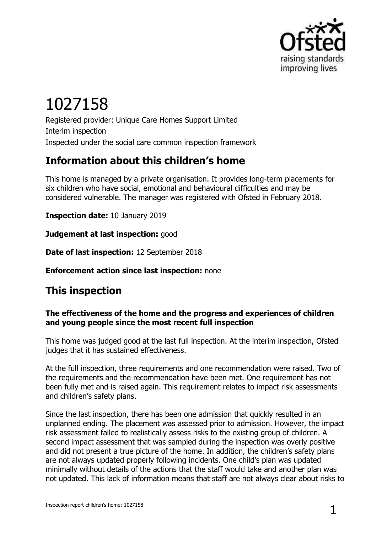

# 1027158

Registered provider: Unique Care Homes Support Limited Interim inspection Inspected under the social care common inspection framework

# **Information about this children's home**

This home is managed by a private organisation. It provides long-term placements for six children who have social, emotional and behavioural difficulties and may be considered vulnerable. The manager was registered with Ofsted in February 2018.

**Inspection date:** 10 January 2019

**Judgement at last inspection:** good

**Date of last inspection:** 12 September 2018

**Enforcement action since last inspection:** none

## **This inspection**

#### **The effectiveness of the home and the progress and experiences of children and young people since the most recent full inspection**

This home was judged good at the last full inspection. At the interim inspection, Ofsted judges that it has sustained effectiveness.

At the full inspection, three requirements and one recommendation were raised. Two of the requirements and the recommendation have been met. One requirement has not been fully met and is raised again. This requirement relates to impact risk assessments and children's safety plans.

Since the last inspection, there has been one admission that quickly resulted in an unplanned ending. The placement was assessed prior to admission. However, the impact risk assessment failed to realistically assess risks to the existing group of children. A second impact assessment that was sampled during the inspection was overly positive and did not present a true picture of the home. In addition, the children's safety plans are not always updated properly following incidents. One child's plan was updated minimally without details of the actions that the staff would take and another plan was not updated. This lack of information means that staff are not always clear about risks to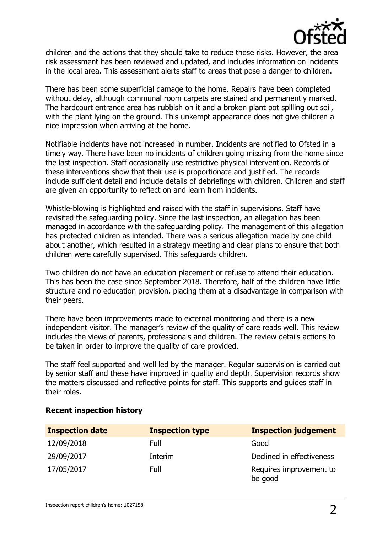

children and the actions that they should take to reduce these risks. However, the area risk assessment has been reviewed and updated, and includes information on incidents in the local area. This assessment alerts staff to areas that pose a danger to children.

There has been some superficial damage to the home. Repairs have been completed without delay, although communal room carpets are stained and permanently marked. The hardcourt entrance area has rubbish on it and a broken plant pot spilling out soil, with the plant lying on the ground. This unkempt appearance does not give children a nice impression when arriving at the home.

Notifiable incidents have not increased in number. Incidents are notified to Ofsted in a timely way. There have been no incidents of children going missing from the home since the last inspection. Staff occasionally use restrictive physical intervention. Records of these interventions show that their use is proportionate and justified. The records include sufficient detail and include details of debriefings with children. Children and staff are given an opportunity to reflect on and learn from incidents.

Whistle-blowing is highlighted and raised with the staff in supervisions. Staff have revisited the safeguarding policy. Since the last inspection, an allegation has been managed in accordance with the safeguarding policy. The management of this allegation has protected children as intended. There was a serious allegation made by one child about another, which resulted in a strategy meeting and clear plans to ensure that both children were carefully supervised. This safeguards children.

Two children do not have an education placement or refuse to attend their education. This has been the case since September 2018. Therefore, half of the children have little structure and no education provision, placing them at a disadvantage in comparison with their peers.

There have been improvements made to external monitoring and there is a new independent visitor. The manager's review of the quality of care reads well. This review includes the views of parents, professionals and children. The review details actions to be taken in order to improve the quality of care provided.

The staff feel supported and well led by the manager. Regular supervision is carried out by senior staff and these have improved in quality and depth. Supervision records show the matters discussed and reflective points for staff. This supports and guides staff in their roles.

| <b>Inspection date</b> | <b>Inspection type</b> | <b>Inspection judgement</b>        |
|------------------------|------------------------|------------------------------------|
| 12/09/2018             | Full                   | Good                               |
| 29/09/2017             | Interim                | Declined in effectiveness          |
| 17/05/2017             | Full                   | Requires improvement to<br>be good |

#### **Recent inspection history**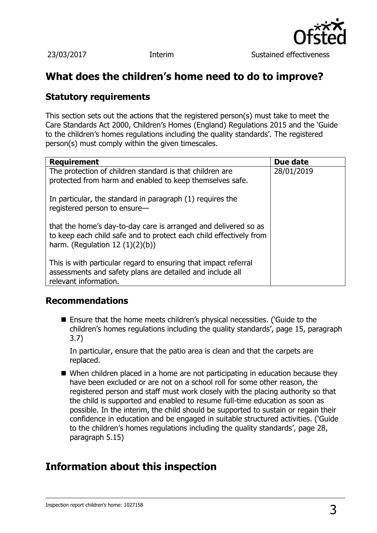

## **What does the children's home need to do to improve?**

## **Statutory requirements**

This section sets out the actions that the registered person(s) must take to meet the Care Standards Act 2000, Children's Homes (England) Regulations 2015 and the 'Guide to the children's homes regulations including the quality standards'. The registered person(s) must comply within the given timescales.

| <b>Requirement</b>                                                                                                                                                         | Due date   |
|----------------------------------------------------------------------------------------------------------------------------------------------------------------------------|------------|
| The protection of children standard is that children are<br>protected from harm and enabled to keep themselves safe.                                                       | 28/01/2019 |
| In particular, the standard in paragraph (1) requires the<br>registered person to ensure-                                                                                  |            |
| that the home's day-to-day care is arranged and delivered so as<br>to keep each child safe and to protect each child effectively from<br>harm. (Regulation $12(1)(2)(b)$ ) |            |
| This is with particular regard to ensuring that impact referral<br>assessments and safety plans are detailed and include all<br>relevant information.                      |            |

### **Recommendations**

■ Ensure that the home meets children's physical necessities. ('Guide to the children's homes regulations including the quality standards', page 15, paragraph 3.7)

In particular, ensure that the patio area is clean and that the carpets are replaced.

■ When children placed in a home are not participating in education because they have been excluded or are not on a school roll for some other reason, the registered person and staff must work closely with the placing authority so that the child is supported and enabled to resume full-time education as soon as possible. In the interim, the child should be supported to sustain or regain their confidence in education and be engaged in suitable structured activities. ('Guide to the children's homes regulations including the quality standards', page 28, paragraph 5.15)

## **Information about this inspection**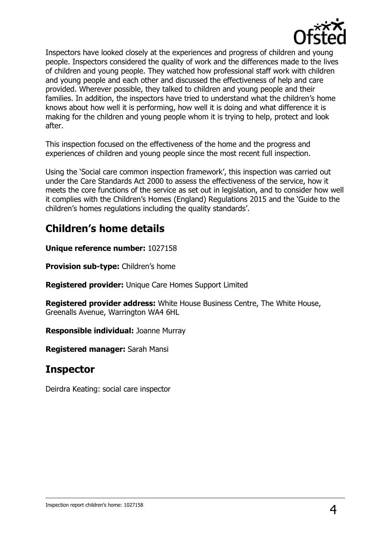

Inspectors have looked closely at the experiences and progress of children and young people. Inspectors considered the quality of work and the differences made to the lives of children and young people. They watched how professional staff work with children and young people and each other and discussed the effectiveness of help and care provided. Wherever possible, they talked to children and young people and their families. In addition, the inspectors have tried to understand what the children's home knows about how well it is performing, how well it is doing and what difference it is making for the children and young people whom it is trying to help, protect and look after.

This inspection focused on the effectiveness of the home and the progress and experiences of children and young people since the most recent full inspection.

Using the 'Social care common inspection framework', this inspection was carried out under the Care Standards Act 2000 to assess the effectiveness of the service, how it meets the core functions of the service as set out in legislation, and to consider how well it complies with the Children's Homes (England) Regulations 2015 and the 'Guide to the children's homes regulations including the quality standards'.

## **Children's home details**

**Unique reference number:** 1027158

**Provision sub-type:** Children's home

**Registered provider:** Unique Care Homes Support Limited

**Registered provider address:** White House Business Centre, The White House, Greenalls Avenue, Warrington WA4 6HL

**Responsible individual:** Joanne Murray

**Registered manager:** Sarah Mansi

## **Inspector**

Deirdra Keating: social care inspector